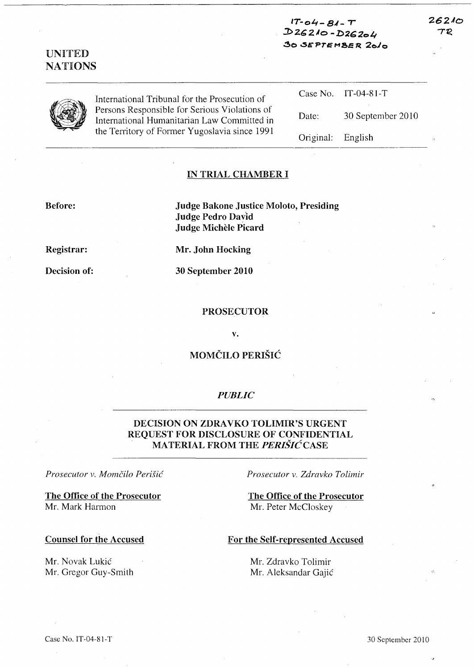| <b>UNITED</b><br><b>NATIONS</b> |                                                                                                                                                                                                | $17 - 04 - 81 - T$<br>$D26210 - D26204$<br>30 SEPTEMBER 2010 |                   | 26210<br>TR<br>id. |
|---------------------------------|------------------------------------------------------------------------------------------------------------------------------------------------------------------------------------------------|--------------------------------------------------------------|-------------------|--------------------|
|                                 | International Tribunal for the Prosecution of<br>Persons Responsible for Serious Violations of<br>International Humanitarian Law Committed in<br>the Territory of Former Yugoslavia since 1991 | Case No.                                                     | $IT-04-81-T$      |                    |
|                                 |                                                                                                                                                                                                | Date:                                                        | 30 September 2010 |                    |
|                                 |                                                                                                                                                                                                | Original:                                                    | English           | œ                  |

#### IN TRIAL CHAMBER I

### Before:

Judge Bakone Justice Moloto, Presiding Judge Pedro Dayid Judge Michele Picard

Registrar:

Decision of:

Mr. John Hocking

30 September 2010

#### PROSECUTOR

v.

## MOMČILO PERIŠIĆ

### *PUBLIC*

# DECISION ON ZDRAVKO TOLIMIR'S URGENT REQUEST FOR DISCLOSURE OF CONFIDENTIAL MATERIAL FROM THE *PERISIC* CASE

### *Prosecutor v. Momcilo Perish!*

The Office of the Prosecutor Mr. Mark Harmon

Counsel for the Accused

Mr. Novak Lukic Mr. Gregor Guy-Smith *Prosecutor v. Zdravko Tolimir* 

The Office of the Prosecutor Mr. Peter McCloskey

### For the Self-represented Accused

Mr. Zdravko Tolimir Mr. Aleksandar Gajic 262AO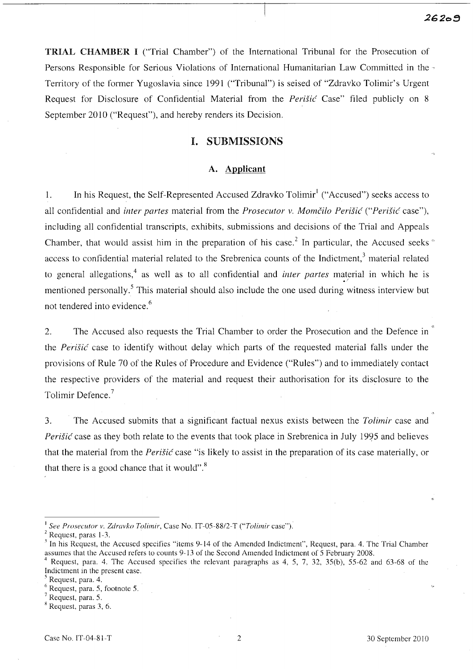**2620B** 

**TRIAL CHAMBER I** ("Trial Chamber") of the International Tribunal for the Prosecution of Persons Responsible for Serious Violations of International Humanitarian Law Committed in the Territory of the former Yugoslavia since 1991 ("Tribunal") is seised of "Zdravko Tolimir's Urgent Request for Disclosure of Confidential Material from the *Perišić* Case" filed publicly on 8 September 2010 ("Request"), and hereby renders its Decision.

## I. SUBMISSIONS

### A. **Applicant**

1. In his Request, the Self-Represented Accused Zdravko Tolimir<sup>1</sup> ("Accused") seeks access to all confidential and *inter partes* material from the *Prosecutor v. Momčilo Perišić* ("Perišić case"), including all confidential transcripts, exhibits, submissions and decisions of the Trial and Appeals Chamber, that would assist him in the preparation of his case.<sup>2</sup> In particular, the Accused seeks  $\degree$ access to confidential material related to the Srebrenica counts of the Indictment,<sup>3</sup> material related to general allegations,<sup>4</sup> as well as to all confidential and *inter partes* material in which he is mentioned personally.<sup>5</sup> This material should also include the one used during witness interview but not tendered into evidence.<sup>6</sup>

2. The Accused also requests the Trial Chamber to order the Prosecution and the Defence in the *Perišić* case to identify without delay which parts of the requested material falls under the provisions of Rule 70 of the Rules of Procedure and Evidence ("Rules") and to immediately contact the respective providers of the material and request their authorisation for its disclosure to the Tolimir Defence. <sup>7</sup>

3. The Accused submits that a significant factual nexus exists between the *Tolimir* case and *Perišić* case as they both relate to the events that took place in Srebrenica in July 1995 and believes that the material from the *Perišić* case "is likely to assist in the preparation of its case materially, or that there is a good chance that it would".<sup>8</sup>

<sup>I</sup>*See Prosecutor v. Zdravko Tolimir,* Case No. IT-05-SS/2-T *("Toiimir* case").

 $2$  Request, paras 1-3.

 $\frac{3}{10}$  In his Request, the Accused specifies "items 9-14 of the Amended Indictment", Request, para. 4. The Trial Chamber assumes that the Accused refers to counts 9-13 of the Second Amended Indictment of 5 February 200S.

Request, para. 4. The Accused specifies the relevant paragraphs as 4, 5, 7, 32, 35(b), 55-62 and 63-68 of the Indictment in the present case.

Request, para. 4.

 $<sup>6</sup>$  Request, para. 5, footnote 5.</sup>

<sup>7</sup> Request, para. 5.

x Request, paras 3, 6.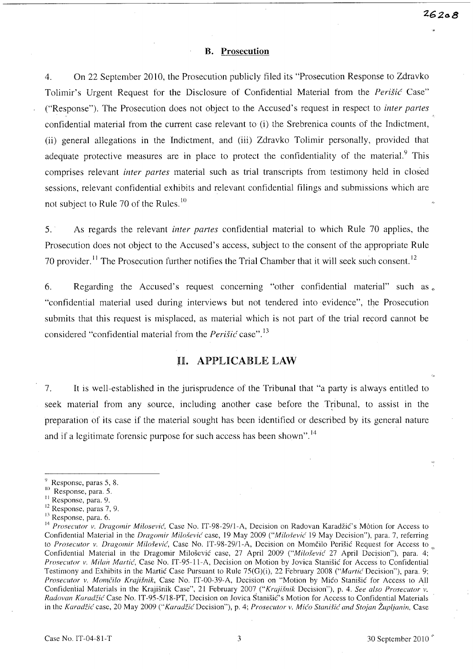#### **B. Prosecution**

4. On 22 September 2010, the Prosecution publicly filed its "Prosecution Response to Zdravko Tolimir's Urgent Request for the Disclosure of Confidential Material from the *Perišić* Case" ("Response"). The Prosecution does not object to the Accused's request in respect to *inter partes*  confidential material from the current case relevant to (i) the Srebrenica counts of the Indictment, (ii) general allegations in the Indictment, and (iii) Zdravko Tolimir personally, provided that adequate protective measures are in place to protect the confidentiality of the material.<sup>9</sup> This comprises relevant *inter partes* material such as trial transcripts from testimony held in closed sessions, relevant confidential exhibits and relevant confidential filings and submissions which are not subject to Rule 70 of the Rules. 10

5. As regards the relevant *inter partes* confidential material to which Rule 70 applies, the Prosecution does not object to the Accused's access, subject to the consent of the appropriate Rule 70 provider. 11 The Prosecution further notifies the Trial Chamber that it will seek such consent. <sup>12</sup>

6. Regarding the Accused's request concerning "other confidential material" such as  $\epsilon$ . "confidential material used during interviews but not tendered into evidence", the Prosecution submits that this request is misplaced, as material which is not part of the trial record cannot be considered "confidential material from the *Perišić* case".<sup>13</sup>

### H. APPLICABLE LAW

7. It is well-established in the jurisprudence of the Tribunal that "a party is always entitled to seek material from any source, including another case before the Tribunal, to assist in the preparation of its case if the material sought has been identified or described by its general nature and if a legitimate forensic purpose for such access has been shown".<sup>14</sup>

12 Response, paras 7, 9.

 $9$  Response, paras 5, 8.

<sup>&</sup>lt;sup>10</sup> Response, para. 5.

<sup>&</sup>lt;sup>11</sup> Response, para. 9.

<sup>&</sup>lt;sup>13</sup> Response, para. 6.

<sup>&</sup>lt;sup>14</sup> Prosecutor v. Dragomir Milosević, Case No. IT-98-29/1-A, Decision on Radovan Karadžić's Motion for Access to Confidential Material in the *Dragomir Milošević* case, 19 May 2009 *("Milošević* 19 May Decision"), para. 7, referring to Prosecutor v. Dragomir Milošević, Case No. IT-98-29/1-A, Decision on Momčilo Perišić Request for Access to Confidential Material in the Dragomir Milošević case, 27 April 2009 ("Milošević 27 April Decision"), para. 4; *Prosecutor v. Milan Martic!,* Case No. IT -95-11-A, Decision on Motion by Jovica Stanisic for Access to Confidential Testimony and Exhibits in the Martic Case Pursuant to Rule 75(G)(i), 22 February 2008 *("Martic Decision")*, para. 9; *Prosecutor v. Momčilo Krajišnik*, Case No. IT-00-39-A, Decision on "Motion by Mico Stanišic for Access to All Confidential Materials in the Krajisnik Case", 21 February 2007 (" *Kraji.fnik* Decision"), p. 4. *See also Prosecutor ·v. Radovan Karadfie!* Case No. IT-95-5/1S-PT, Decision on Jovica Stanisic's Motion for Access to Confidential Materials in the *Karadžić* case, 20 May 2009 ("Karadžić Decision"), p. 4; *Prosecutor v. Mićo Stanišić and Stojan Župlianin*, Case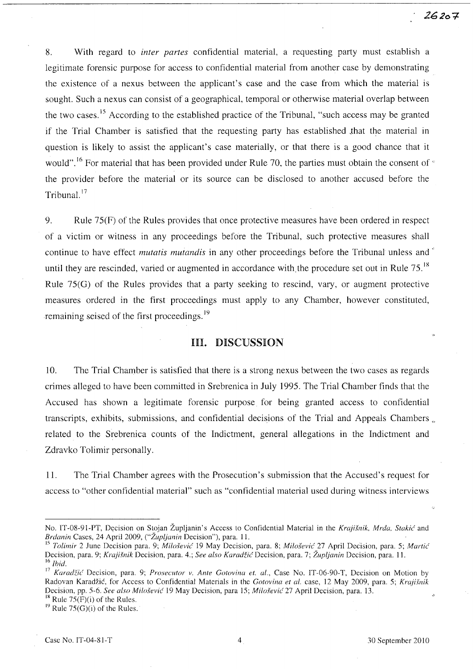8. With regard to *inter partes* confidential material, a requesting party must establish a legitimate forensic purpose for access to confidential material from another case by demonstrating the existence of a nexus between the applicant's case and the case from which the material is sought. Such a nexus can consist of a geographical, temporal or otherwise material overlap between the two cases.<sup>15</sup> According to the established practice of the Tribunal, "such access may be granted if the Trial Chamber is satisfied that the requesting party has established that the material in question is likely to assist the applicant's case materially, or that there is a good chance that it would".<sup>16</sup> For material that has been provided under Rule 70, the parties must obtain the consent of  $\epsilon$ the provider before the material or its source can be disclosed to another accused before the Tribunal.<sup>17</sup>

9. Rule 75(F) of the Rules provides that once protective measures have been orderedin respect of a victim or witness in any proceedings before the Tribunal, such protective measures shall continue to have effect *mutatis mutandis* in any other proceedings before the Tribunal unless and' until they are rescinded, varied or augmented in accordance with the procedure set out in Rule 75.<sup>18</sup> Rule 75(G) of the Rules provides that a party seeking to rescind, vary, or augment protective measures ordered in the first proceedings must apply to any Chamber, however constituted, remaining seised of the first proceedings.<sup>19</sup>

## HI. DISCUSSION

10. The Trial Chamber is satisfied that there is a strong nexus between the two cases as regards crimes alleged to have been committed in Srebrenica in July 1995. The Trial Chamber finds that the Accused has shown a legitimate forensic purpose for being granted access to confidential transcripts, exhibits, submissions, and confidential decisions of the Trial and Appeals Chambers ." related to the Srebrenica counts of the Indictment, general allegations in the Indictment and Zdravko Tolimir personally.

11. The Trial Chamber agrees with the Prosecution's submission that the Accused's request for access to "other confidential material" such as "confidential material used during witness interviews

<sup>18</sup> Rule  $75(F)(i)$  of the Rules. <sup>19</sup> Rule 75(G)(i) of the Rules.

No. IT-08-91-PT, Decision on Stojan Župljanin's Access to Confidential Material in the *Krajišnik, Mrda, Stakić* and *Brdanin Cases, 24 April 2009, ("Župljanin Decision"), para. 11.* 

<sup>&</sup>lt;sup>15</sup> Tolimir 2 June Decision para. 9; *Milošević* 19 May Decision, para. 8; *Milošević* 27 April Decision, para. 5; *Martić* Decision, para. 9; *Krajišnik* Decision, para. 4.; *See also Karadžić* Decision, para. 7; Župljanin Decision, para. 11. <sup>16</sup> *Ihid.* 

<sup>&</sup>lt;sup>17</sup> Karadžić Decision, para. 9; *Prosecutor v. Ante Gotovina et. al.*, Case No. IT-06-90-T, Decision on Motion by Radovan Karadžić, for Access to Confidential Materials in the *Gotovina et al.* case, 12 May 2009, para. 5; *Krajišnik* Decision, pp. 5-6. *See also Milo.fevi{* 19 May Decision, para 15; *Milo.fevic'* 27 April Decision, para. 13.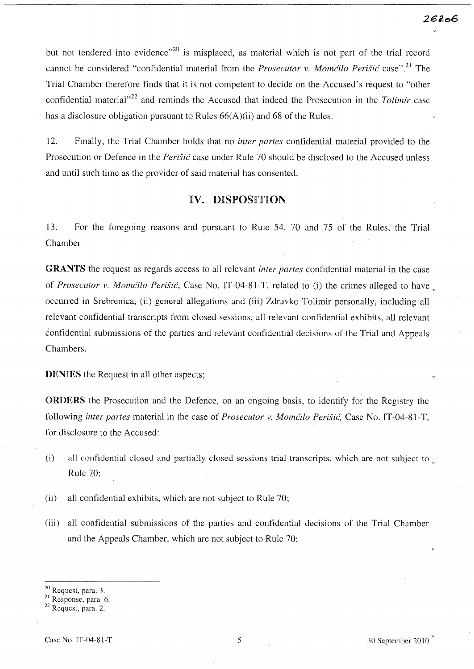but not tendered into evidence"<sup>20</sup> is misplaced, as material which is not part of the trial record cannot be considered "confidential material from the *Prosecutor v. Momćilo Perišić* case".<sup>21</sup> The Trial Chamber therefore finds that it is not competent to decide on the Accused's request to "other confidential material<sup>122</sup> and reminds the Accused that indeed the Prosecution in the *Tolimir* case has a disclosure obligation pursuant to Rules 66(A)(ii) and 68 of the Rules.

12. Finally, the Trial Chamber holds that no *inter partes* confidential material provided to the Prosecution or Defence in the *Perišić* case under Rule 70 should be disclosed to the Accused unless and until such time as the provider of said material has consented.

## IV. DISPOSITION

13. For the foregoing reasons and pursuant to Rule 54, 70 and 75 of the Rules, the Trial Chamber

GRANTS the request as regards access to all relevant *inter partes* confidential material in the case of *Prosecutor v. Momćilo Perišić*, Case No. IT-04-81-T, related to (i) the crimes alleged to have occurred in Srebrenica, (ii) general allegations and (iii) Zdravko Tolimir personally, including all relevant confidential transcripts from closed sessions, all relevant confidential exhibits, all relevant confidential submissions of the parties and relevant confidential decisions of the Trial and Appeals Chambers.

DENIES the Request in all other aspects;

ORDERS the Prosecution and the Defence, on an ongoing basis, to identify for the Registry the following *inter partes* material in the case of *Prosecutor* v. *Momcilo Perisic,* Case No. IT -04-81-T, for disclosure to the Accused:

- (i) all confidential closed and partially closed sessions trial transcripts, which are not subject to  $\mathbf{r}$ . Rule 70;
- (ii) all confidential exhibits, which are not subject to Rule 70;
- (iii) all confidential submissions of the parties and confidential decisions of the Trial Chamber and the Appeals Chamber, which are not subject to Rule 70;

<sup>20</sup> Request, para. 3.

<sup>21</sup> Response. para. 6.

<sup>&</sup>lt;sup>22</sup> Request, para. 2.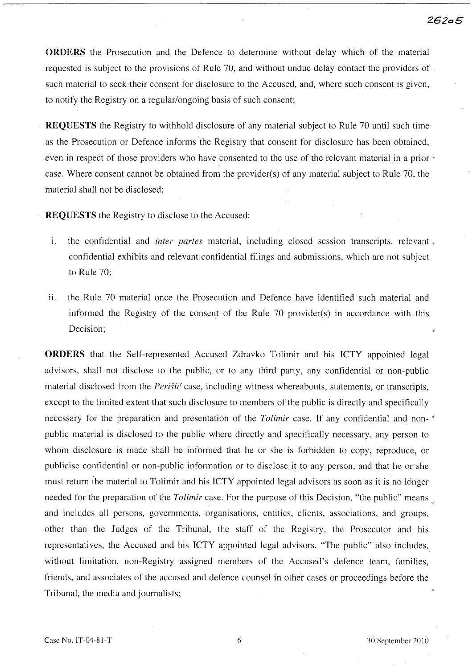*26205* 

ORDERS the Prosecution and the Defence to determine without delay which of the material requested is subject to the provisions of Rule 70, and without undue delay contact the providers of such material to seek their consent for disclosure to the Accused, and, where such consent is given, to notify the Registry on a regular/ongoing basis of such consent;

REQUESTS the Registry to withhold disclosure of any material subject to Rule 70 until such time as the Prosecution or Defence informs the Registry that consent for disclosure has been obtained, even in respect of those providers who have consented to the use of the relevant material in a prior case. Where consent cannot be obtained from the provider(s) of any material subject to Rule 70, the material shall not be disclosed;

REQUESTS the Registry to disclose to the Accused:

- i. the confidential and *inter partes* material, including closed session transcripts, relevant  $\epsilon$ . confidential exhibits and relevant confidential filings and submissions, which are not subject to Rule 70;
- 11.. the Rule 70 material once the Prosecution and Defence have identified such material and informed the Registry of the consent of the Rule 70 provider(s) in accordance with this Decision;

ORDERS that the Self-represented Accused Zdravko Tolimir and his ICTY appointed legal advisors, shall not disclose to the public, or to any third party, any confidential or non-public material disclosed from the *Perisic* case, including witness whereabouts, statements, or transcripts, except to the limited extent that such disclosure to members of the public is directly and specifically necessary for the preparation and presentation of the *Tolimir* case. If any confidential and non- " public material is disclosed to the public where directly and specifically necessary, any person to whom disclosure is made shall be informed that he or she is forbidden to copy, reproduce, or publicise confidential or non-public information or to disclose it to any person, and that he or she must return ihe material to Tolimir and his ICTY appointed legal advisors as soon as it is no longer needed for the preparation of the *Tolimir* case. For the purpose of this Decision, "the public" means and includes all persons, governments, organisations, entities, clients, associations, and groups, other than the Judges of the Tribunal, the staff of the Registry, the Prosecutor and his representatives, the Accused and his ICTY appointed legal advisors. "The public" also includes, without limitation, non-Registry assigned members of the Accused's defence team, families, friends, and associates of the accused and defence counsel in other cases or proceedings before the Tribunal, the media and journalists;